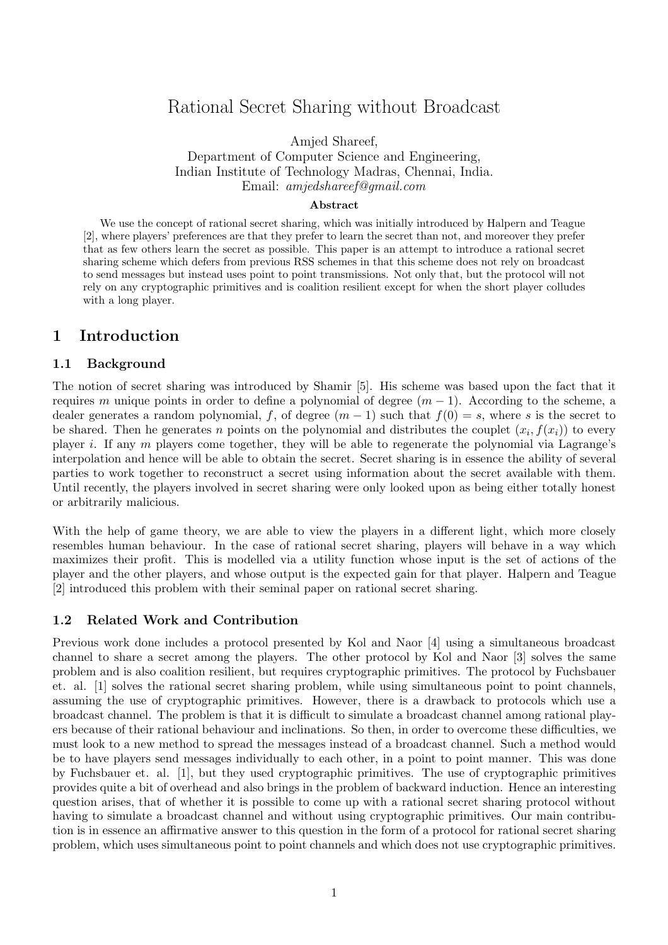# Rational Secret Sharing without Broadcast

Amjed Shareef,

Department of Computer Science and Engineering, Indian Institute of Technology Madras, Chennai, India. Email: amjedshareef@gmail.com

#### Abstract

We use the concept of rational secret sharing, which was initially introduced by Halpern and Teague [2], where players' preferences are that they prefer to learn the secret than not, and moreover they prefer that as few others learn the secret as possible. This paper is an attempt to introduce a rational secret sharing scheme which defers from previous RSS schemes in that this scheme does not rely on broadcast to send messages but instead uses point to point transmissions. Not only that, but the protocol will not rely on any cryptographic primitives and is coalition resilient except for when the short player colludes with a long player.

## 1 Introduction

### 1.1 Background

The notion of secret sharing was introduced by Shamir [5]. His scheme was based upon the fact that it requires m unique points in order to define a polynomial of degree  $(m - 1)$ . According to the scheme, a dealer generates a random polynomial, f, of degree  $(m-1)$  such that  $f(0) = s$ , where s is the secret to be shared. Then he generates n points on the polynomial and distributes the couplet  $(x_i, f(x_i))$  to every player i. If any m players come together, they will be able to regenerate the polynomial via Lagrange's interpolation and hence will be able to obtain the secret. Secret sharing is in essence the ability of several parties to work together to reconstruct a secret using information about the secret available with them. Until recently, the players involved in secret sharing were only looked upon as being either totally honest or arbitrarily malicious.

With the help of game theory, we are able to view the players in a different light, which more closely resembles human behaviour. In the case of rational secret sharing, players will behave in a way which maximizes their profit. This is modelled via a utility function whose input is the set of actions of the player and the other players, and whose output is the expected gain for that player. Halpern and Teague [2] introduced this problem with their seminal paper on rational secret sharing.

#### 1.2 Related Work and Contribution

Previous work done includes a protocol presented by Kol and Naor [4] using a simultaneous broadcast channel to share a secret among the players. The other protocol by Kol and Naor [3] solves the same problem and is also coalition resilient, but requires cryptographic primitives. The protocol by Fuchsbauer et. al. [1] solves the rational secret sharing problem, while using simultaneous point to point channels, assuming the use of cryptographic primitives. However, there is a drawback to protocols which use a broadcast channel. The problem is that it is difficult to simulate a broadcast channel among rational players because of their rational behaviour and inclinations. So then, in order to overcome these difficulties, we must look to a new method to spread the messages instead of a broadcast channel. Such a method would be to have players send messages individually to each other, in a point to point manner. This was done by Fuchsbauer et. al. [1], but they used cryptographic primitives. The use of cryptographic primitives provides quite a bit of overhead and also brings in the problem of backward induction. Hence an interesting question arises, that of whether it is possible to come up with a rational secret sharing protocol without having to simulate a broadcast channel and without using cryptographic primitives. Our main contribution is in essence an affirmative answer to this question in the form of a protocol for rational secret sharing problem, which uses simultaneous point to point channels and which does not use cryptographic primitives.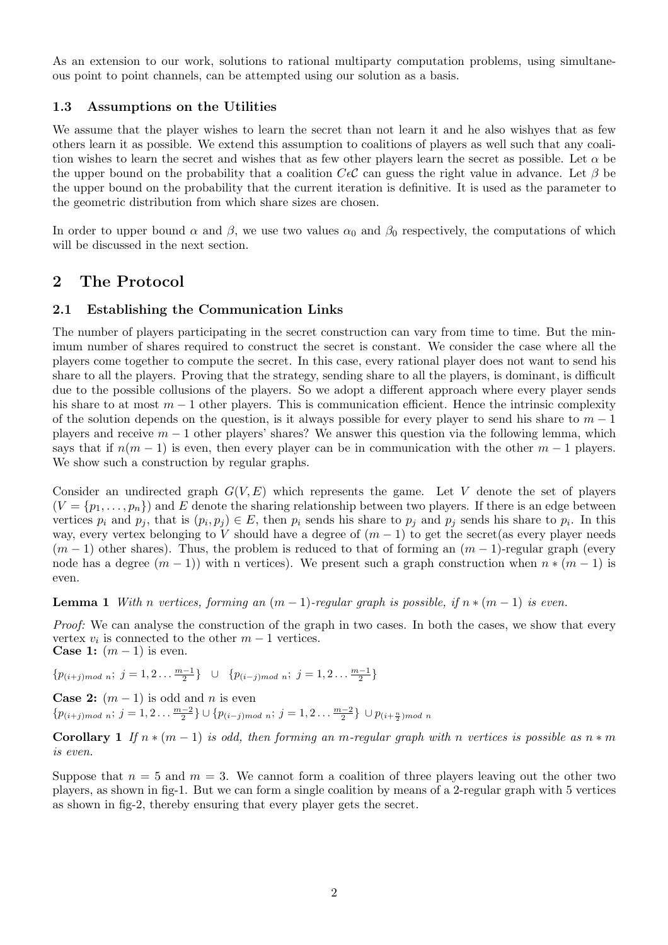As an extension to our work, solutions to rational multiparty computation problems, using simultaneous point to point channels, can be attempted using our solution as a basis.

## 1.3 Assumptions on the Utilities

We assume that the player wishes to learn the secret than not learn it and he also wishyes that as few others learn it as possible. We extend this assumption to coalitions of players as well such that any coalition wishes to learn the secret and wishes that as few other players learn the secret as possible. Let  $\alpha$  be the upper bound on the probability that a coalition  $C\epsilon\mathcal{C}$  can guess the right value in advance. Let  $\beta$  be the upper bound on the probability that the current iteration is definitive. It is used as the parameter to the geometric distribution from which share sizes are chosen.

In order to upper bound  $\alpha$  and  $\beta$ , we use two values  $\alpha_0$  and  $\beta_0$  respectively, the computations of which will be discussed in the next section.

## 2 The Protocol

## 2.1 Establishing the Communication Links

The number of players participating in the secret construction can vary from time to time. But the minimum number of shares required to construct the secret is constant. We consider the case where all the players come together to compute the secret. In this case, every rational player does not want to send his share to all the players. Proving that the strategy, sending share to all the players, is dominant, is difficult due to the possible collusions of the players. So we adopt a different approach where every player sends his share to at most  $m-1$  other players. This is communication efficient. Hence the intrinsic complexity of the solution depends on the question, is it always possible for every player to send his share to  $m - 1$ players and receive  $m - 1$  other players' shares? We answer this question via the following lemma, which says that if  $n(m-1)$  is even, then every player can be in communication with the other  $m-1$  players. We show such a construction by regular graphs.

Consider an undirected graph  $G(V, E)$  which represents the game. Let V denote the set of players  $(V = \{p_1, \ldots, p_n\})$  and E denote the sharing relationship between two players. If there is an edge between vertices  $p_i$  and  $p_j$ , that is  $(p_i, p_j) \in E$ , then  $p_i$  sends his share to  $p_j$  and  $p_j$  sends his share to  $p_i$ . In this way, every vertex belonging to V should have a degree of  $(m-1)$  to get the secret(as every player needs  $(m-1)$  other shares). Thus, the problem is reduced to that of forming an  $(m-1)$ -regular graph (every node has a degree  $(m-1)$ ) with n vertices). We present such a graph construction when  $n * (m-1)$  is even.

**Lemma 1** With n vertices, forming an  $(m - 1)$ -regular graph is possible, if  $n * (m - 1)$  is even.

Proof: We can analyse the construction of the graph in two cases. In both the cases, we show that every vertex  $v_i$  is connected to the other  $m-1$  vertices. **Case 1:**  $(m-1)$  is even.

 ${p_{(i+j)mod n}}; j = 1, 2... \frac{m-1}{2} \cup {p_{(i-j)mod n}}; j = 1, 2... \frac{m-1}{2}$ 

**Case 2:**  $(m-1)$  is odd and n is even  ${p_{(i+j)mod n}}; j = 1, 2... \frac{m-2}{2} \cup {p_{(i-j)mod n}}; j = 1, 2... \frac{m-2}{2} \cup p_{(i+\frac{n}{2})}$  $\mod n$ 

**Corollary 1** If  $n * (m - 1)$  is odd, then forming an m-regular graph with n vertices is possible as  $n * m$ is even.

Suppose that  $n = 5$  and  $m = 3$ . We cannot form a coalition of three players leaving out the other two players, as shown in fig-1. But we can form a single coalition by means of a 2-regular graph with 5 vertices as shown in fig-2, thereby ensuring that every player gets the secret.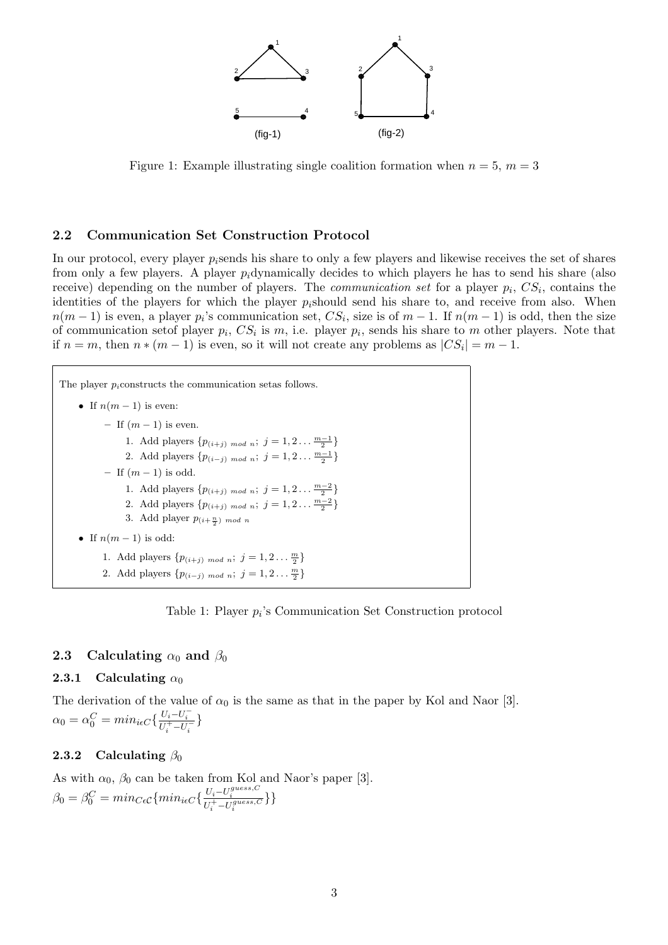

Figure 1: Example illustrating single coalition formation when  $n = 5$ ,  $m = 3$ 

#### 2.2 Communication Set Construction Protocol

In our protocol, every player  $p_i$  sends his share to only a few players and likewise receives the set of shares from only a few players. A player  $p_i$  dynamically decides to which players he has to send his share (also receive) depending on the number of players. The *communication set* for a player  $p_i$ ,  $CS_i$ , contains the identities of the players for which the player  $p_i$ should send his share to, and receive from also. When  $n(m-1)$  is even, a player  $p_i$ 's communication set,  $CS_i$ , size is of  $m-1$ . If  $n(m-1)$  is odd, then the size of communication set of player  $p_i$ ,  $CS_i$  is m, i.e. player  $p_i$ , sends his share to m other players. Note that if  $n = m$ , then  $n * (m - 1)$  is even, so it will not create any problems as  $|CS_i| = m - 1$ .

| The player $p_i$ constructs the communication set as follows.         |  |
|-----------------------------------------------------------------------|--|
| • If $n(m-1)$ is even:                                                |  |
| - If $(m-1)$ is even.                                                 |  |
| 1. Add players $\{p_{(i+j) \mod n}; j = 1, 2 \frac{m-1}{2}\}\$        |  |
| 2. Add players $\{p_{(i-j) \mod n}; j = 1, 2 \ldots \frac{m-1}{2}\}\$ |  |
| - If $(m-1)$ is odd.                                                  |  |
| 1. Add players $\{p_{(i+j) \mod n}; j = 1, 2 \frac{m-2}{2}\}\$        |  |
| 2. Add players $\{p_{(i+j) \mod n}; j = 1, 2 \frac{m-2}{2}\}\$        |  |
| 3. Add player $p_{(i+\frac{n}{2}) \mod n}$                            |  |
| • If $n(m-1)$ is odd:                                                 |  |
| 1. Add players $\{p_{(i+j) \mod n}; j = 1, 2 \ldots \frac{m}{2}\}\$   |  |
| 2. Add players $\{p_{(i-j) \mod n}; j = 1, 2 \frac{m}{2}\}\$          |  |

Table 1: Player  $p_i$ 's Communication Set Construction protocol

### 2.3 Calculating  $\alpha_0$  and  $\beta_0$

#### 2.3.1 Calculating  $\alpha_0$

The derivation of the value of  $\alpha_0$  is the same as that in the paper by Kol and Naor [3].  $\alpha_0 = \alpha_0^C = min_{i \epsilon C} \{ \frac{U_i - U_i^{-}}{U_i^{+} - U_i^{-}} \}$ 

### 2.3.2 Calculating  $\beta_0$

As with  $\alpha_0$ ,  $\beta_0$  can be taken from Kol and Naor's paper [3].  $\beta_0 = \beta_0^C = min_{C\epsilon} \{min_{i\epsilon} C\{\frac{U_i - U_i^{guess, C}}{U_i^+ - U_i^{guess, C}}\}\}$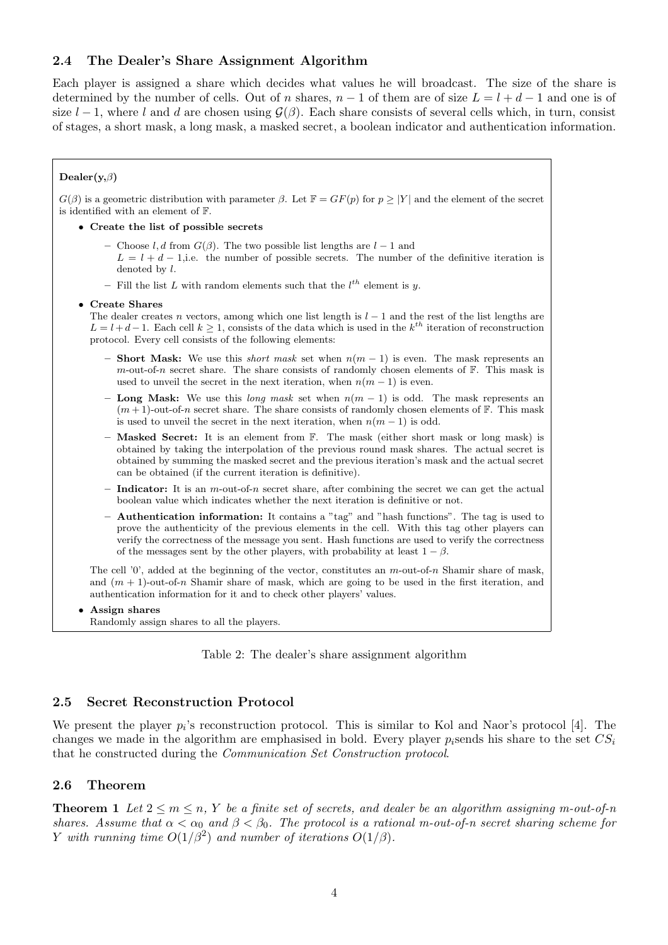## 2.4 The Dealer's Share Assignment Algorithm

Each player is assigned a share which decides what values he will broadcast. The size of the share is determined by the number of cells. Out of n shares,  $n-1$  of them are of size  $L = l + d - 1$  and one is of size  $l-1$ , where l and d are chosen using  $\mathcal{G}(\beta)$ . Each share consists of several cells which, in turn, consist of stages, a short mask, a long mask, a masked secret, a boolean indicator and authentication information.

#### Dealer $(y, \beta)$

 $G(\beta)$  is a geometric distribution with parameter  $\beta$ . Let  $\mathbb{F} = GF(p)$  for  $p \geq |Y|$  and the element of the secret is identified with an element of F.

- Create the list of possible secrets
	- Choose l, d from  $G(\beta)$ . The two possible list lengths are  $l-1$  and
	- $L = l + d 1$ , i.e. the number of possible secrets. The number of the definitive iteration is denoted by l.
	- Fill the list L with random elements such that the  $l^{th}$  element is y.

#### • Create Shares

The dealer creates n vectors, among which one list length is  $l - 1$  and the rest of the list lengths are  $L = l + d - 1$ . Each cell  $k \geq 1$ , consists of the data which is used in the  $k^{th}$  iteration of reconstruction protocol. Every cell consists of the following elements:

- Short Mask: We use this *short mask* set when  $n(m 1)$  is even. The mask represents an m-out-of-n secret share. The share consists of randomly chosen elements of  $\mathbb{F}$ . This mask is used to unveil the secret in the next iteration, when  $n(m-1)$  is even.
- Long Mask: We use this long mask set when  $n(m 1)$  is odd. The mask represents an  $(m+1)$ -out-of-n secret share. The share consists of randomly chosen elements of F. This mask is used to unveil the secret in the next iteration, when  $n(m-1)$  is odd.
- $-$  Masked Secret: It is an element from  $\mathbb{F}$ . The mask (either short mask or long mask) is obtained by taking the interpolation of the previous round mask shares. The actual secret is obtained by summing the masked secret and the previous iteration's mask and the actual secret can be obtained (if the current iteration is definitive).
- Indicator: It is an  $m$ -out-of-n secret share, after combining the secret we can get the actual boolean value which indicates whether the next iteration is definitive or not.
- Authentication information: It contains a "tag" and "hash functions". The tag is used to prove the authenticity of the previous elements in the cell. With this tag other players can verify the correctness of the message you sent. Hash functions are used to verify the correctness of the messages sent by the other players, with probability at least  $1 - \beta$ .

The cell '0', added at the beginning of the vector, constitutes an  $m$ -out-of-n Shamir share of mask, and  $(m + 1)$ -out-of-n Shamir share of mask, which are going to be used in the first iteration, and authentication information for it and to check other players' values.

• Assign shares Randomly assign shares to all the players.

Table 2: The dealer's share assignment algorithm

#### 2.5 Secret Reconstruction Protocol

We present the player  $p_i$ 's reconstruction protocol. This is similar to Kol and Naor's protocol [4]. The changes we made in the algorithm are emphasised in bold. Every player  $p_i$  sends his share to the set  $CS_i$ that he constructed during the Communication Set Construction protocol.

#### 2.6 Theorem

**Theorem 1** Let  $2 \le m \le n$ , Y be a finite set of secrets, and dealer be an algorithm assigning m-out-of-n shares. Assume that  $\alpha < \alpha_0$  and  $\beta < \beta_0$ . The protocol is a rational m-out-of-n secret sharing scheme for Y with running time  $O(1/\beta^2)$  and number of iterations  $O(1/\beta)$ .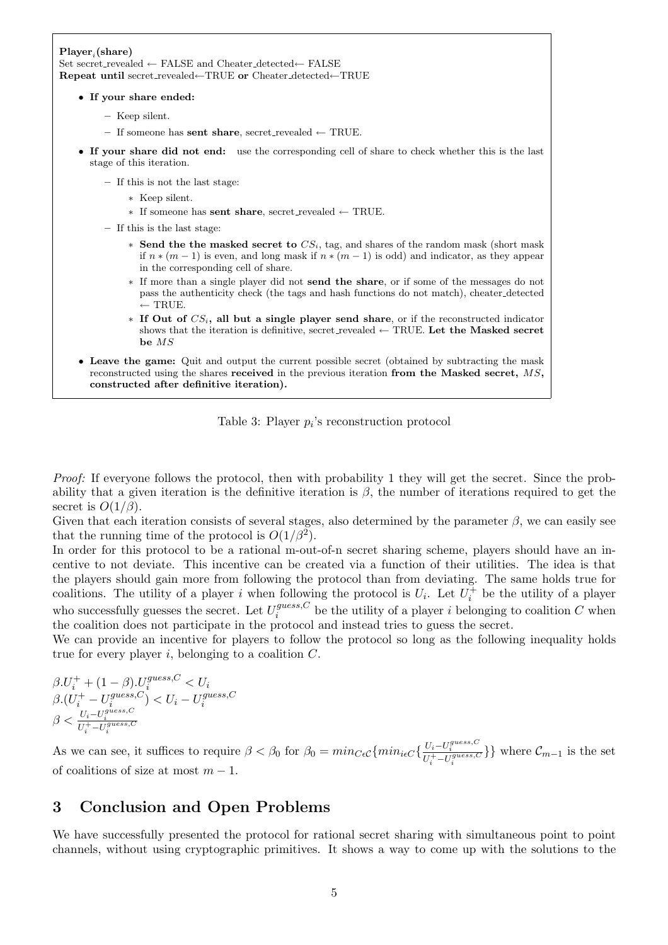#### $Player_i(\text{share})$ Set secret\_revealed ← FALSE and Cheater\_detected← FALSE

Repeat until secret revealed←TRUE or Cheater detected←TRUE

• If your share ended:

- Keep silent.
- If someone has **sent share**, secret\_revealed  $\leftarrow$  TRUE.
- If your share did not end: use the corresponding cell of share to check whether this is the last stage of this iteration.

– If this is not the last stage:

- ∗ Keep silent.
- ∗ If someone has sent share, secret revealed ← TRUE.
- If this is the last stage:
	- $*$  Send the the masked secret to  $CS_i$ , tag, and shares of the random mask (short mask) if  $n*(m-1)$  is even, and long mask if  $n*(m-1)$  is odd) and indicator, as they appear in the corresponding cell of share.
	- ∗ If more than a single player did not send the share, or if some of the messages do not pass the authenticity check (the tags and hash functions do not match), cheater detected  $\leftarrow$  TRUE.
	- $*$  If Out of  $CS_i$ , all but a single player send share, or if the reconstructed indicator shows that the iteration is definitive, secret\_revealed  $\leftarrow$  TRUE. Let the Masked secret be MS
- Leave the game: Quit and output the current possible secret (obtained by subtracting the mask reconstructed using the shares received in the previous iteration from the Masked secret, MS, constructed after definitive iteration).

Table 3: Player  $p_i$ 's reconstruction protocol

Proof: If everyone follows the protocol, then with probability 1 they will get the secret. Since the probability that a given iteration is the definitive iteration is  $\beta$ , the number of iterations required to get the secret is  $O(1/\beta)$ .

Given that each iteration consists of several stages, also determined by the parameter  $\beta$ , we can easily see that the running time of the protocol is  $O(1/\beta^2)$ .

In order for this protocol to be a rational m-out-of-n secret sharing scheme, players should have an incentive to not deviate. This incentive can be created via a function of their utilities. The idea is that the players should gain more from following the protocol than from deviating. The same holds true for coalitions. The utility of a player i when following the protocol is  $U_i$ . Let  $U_i^+$  be the utility of a player who successfully guesses the secret. Let  $U_i^{guess, C}$  $i_j^{guess,C}$  be the utility of a player i belonging to coalition C when the coalition does not participate in the protocol and instead tries to guess the secret.

We can provide an incentive for players to follow the protocol so long as the following inequality holds true for every player  $i$ , belonging to a coalition  $C$ .

$$
\beta.U_i^+ + (1-\beta).U_i^{guess,C} < U_i
$$
\n
$$
\beta.(U_i^+ - U_i^{guess,C}) < U_i - U_i^{guess,C}
$$
\n
$$
\beta < \frac{U_i - U_i^{guess,C}}{U_i^+ - U_i^{guess,C}}
$$

As we can see, it suffices to require  $\beta < \beta_0$  for  $\beta_0 = min_{C\epsilon C} \{ min_{i\epsilon C} \{ \frac{U_i - U_i^{guess, C}}{U_i^+ - U_i^{guess, C}} \} \}$  where  $\mathcal{C}_{m-1}$  is the set of coalitions of size at most  $m - 1$ .

## 3 Conclusion and Open Problems

We have successfully presented the protocol for rational secret sharing with simultaneous point to point channels, without using cryptographic primitives. It shows a way to come up with the solutions to the